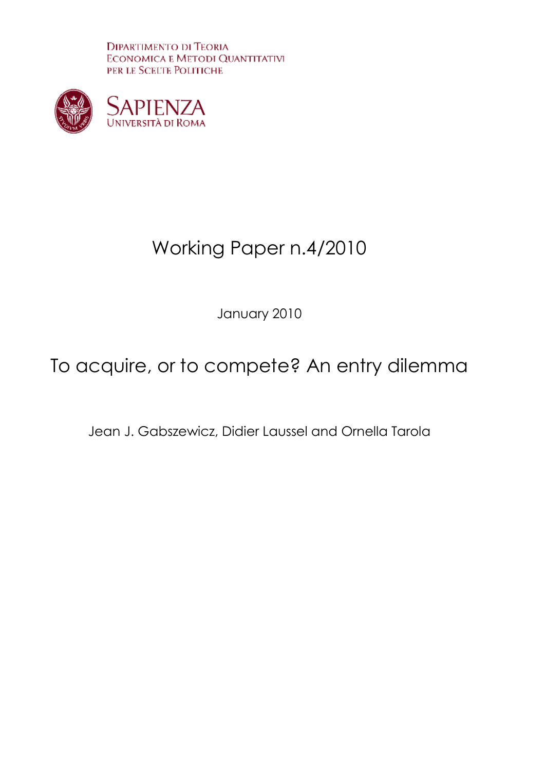**DIPARTIMENTO DI TEORIA ECONOMICA E METODI QUANTITATIVI** PER LE SCELTE POLITICHE



# Working Paper n.4/2010

January 2010

# To acquire, or to compete? An entry dilemma

Jean J. Gabszewicz, Didier Laussel and Ornella Tarola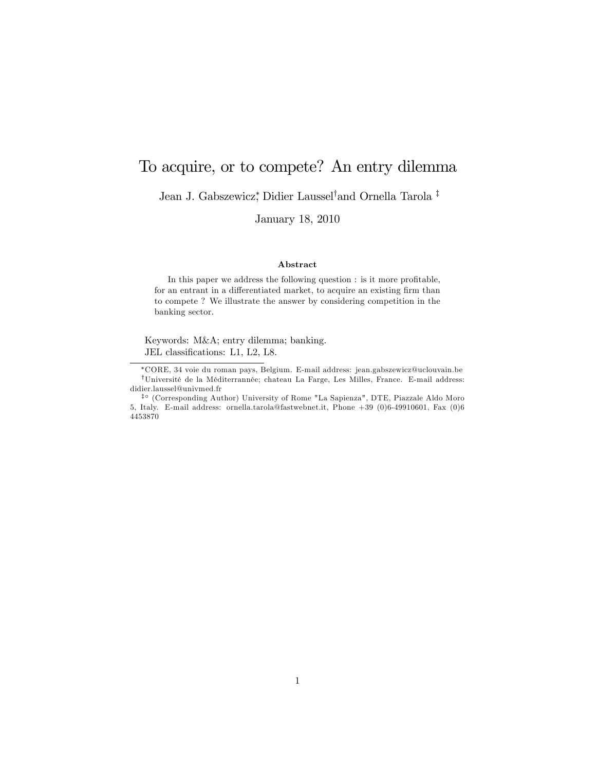# To acquire, or to compete? An entry dilemma

Jean J. Gabszewicz<sup>\*</sup>, Didier Laussel<sup>†</sup>and Ornella Tarola <sup>‡</sup>

January 18, 2010

#### Abstract

In this paper we address the following question : is it more profitable, for an entrant in a differentiated market, to acquire an existing firm than to compete ? We illustrate the answer by considering competition in the banking sector.

Keywords: M&A; entry dilemma; banking. JEL classifications: L1, L2, L8.

CORE, 34 voie du roman pays, Belgium. E-mail address: jean.gabszewicz@uclouvain.be  $^\dagger \text{Université}$ de la Méditerrannée; chateau La Farge, Les Milles, France. E-mail address: didier.laussel@univmed.fr

<sup>&</sup>lt;sup>‡o</sup> (Corresponding Author) University of Rome "La Sapienza", DTE, Piazzale Aldo Moro 5, Italy. E-mail address: ornella.tarola@fastwebnet.it, Phone +39 (0)6-49910601, Fax (0)6 4453870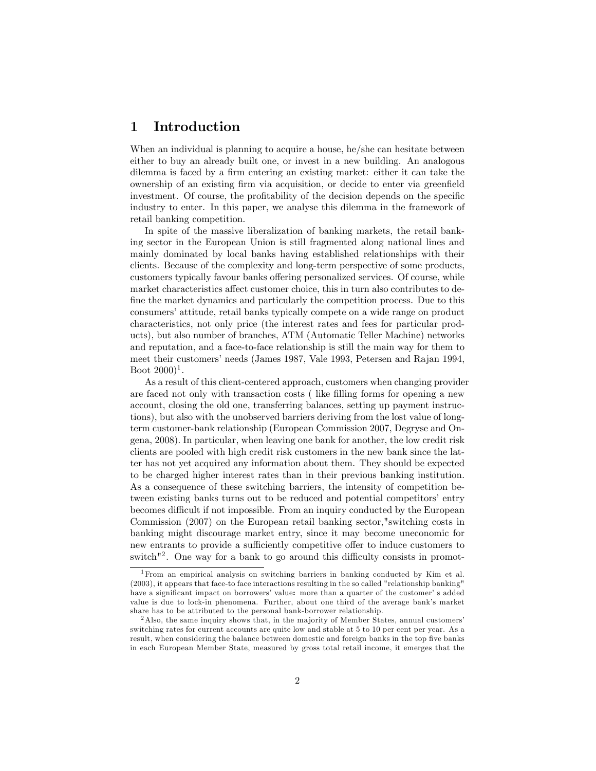## 1 Introduction

When an individual is planning to acquire a house, he/she can hesitate between either to buy an already built one, or invest in a new building. An analogous dilemma is faced by a firm entering an existing market: either it can take the ownership of an existing Örm via acquisition, or decide to enter via greenÖeld investment. Of course, the profitability of the decision depends on the specific industry to enter. In this paper, we analyse this dilemma in the framework of retail banking competition.

In spite of the massive liberalization of banking markets, the retail banking sector in the European Union is still fragmented along national lines and mainly dominated by local banks having established relationships with their clients. Because of the complexity and long-term perspective of some products, customers typically favour banks offering personalized services. Of course, while market characteristics affect customer choice, this in turn also contributes to define the market dynamics and particularly the competition process. Due to this consumers' attitude, retail banks typically compete on a wide range on product characteristics, not only price (the interest rates and fees for particular products), but also number of branches, ATM (Automatic Teller Machine) networks and reputation, and a face-to-face relationship is still the main way for them to meet their customers' needs (James 1987, Vale 1993, Petersen and Rajan 1994, Boot  $(2000)^1$ .

As a result of this client-centered approach, customers when changing provider are faced not only with transaction costs ( like Ölling forms for opening a new account, closing the old one, transferring balances, setting up payment instructions), but also with the unobserved barriers deriving from the lost value of longterm customer-bank relationship (European Commission 2007, Degryse and Ongena, 2008). In particular, when leaving one bank for another, the low credit risk clients are pooled with high credit risk customers in the new bank since the latter has not yet acquired any information about them. They should be expected to be charged higher interest rates than in their previous banking institution. As a consequence of these switching barriers, the intensity of competition between existing banks turns out to be reduced and potential competitors' entry becomes difficult if not impossible. From an inquiry conducted by the European Commission (2007) on the European retail banking sector,"switching costs in banking might discourage market entry, since it may become uneconomic for new entrants to provide a sufficiently competitive offer to induce customers to switch<sup>"2</sup>. One way for a bank to go around this difficulty consists in promot-

<sup>1</sup>From an empirical analysis on switching barriers in banking conducted by Kim et al. (2003), it appears that face-to face interactions resulting in the so called "relationship banking" have a significant impact on borrowers' value: more than a quarter of the customer' s added value is due to lock-in phenomena. Further, about one third of the average bankís market share has to be attributed to the personal bank-borrower relationship.

<sup>&</sup>lt;sup>2</sup>Also, the same inquiry shows that, in the majority of Member States, annual customers' switching rates for current accounts are quite low and stable at 5 to 10 per cent per year. As a result, when considering the balance between domestic and foreign banks in the top five banks in each European Member State, measured by gross total retail income, it emerges that the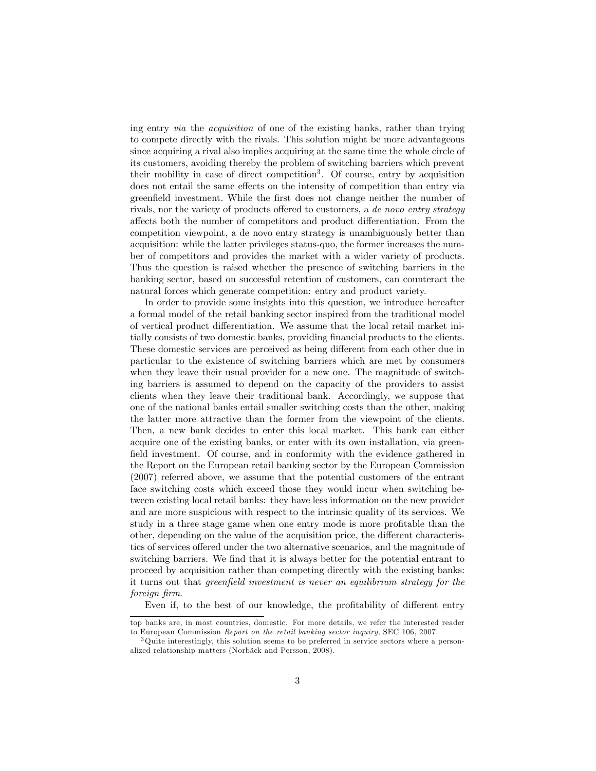ing entry via the acquisition of one of the existing banks, rather than trying to compete directly with the rivals. This solution might be more advantageous since acquiring a rival also implies acquiring at the same time the whole circle of its customers, avoiding thereby the problem of switching barriers which prevent their mobility in case of direct competition<sup>3</sup>. Of course, entry by acquisition does not entail the same effects on the intensity of competition than entry via greenfield investment. While the first does not change neither the number of rivals, nor the variety of products offered to customers, a de novo entry strategy affects both the number of competitors and product differentiation. From the competition viewpoint, a de novo entry strategy is unambiguously better than acquisition: while the latter privileges status-quo, the former increases the number of competitors and provides the market with a wider variety of products. Thus the question is raised whether the presence of switching barriers in the banking sector, based on successful retention of customers, can counteract the natural forces which generate competition: entry and product variety.

In order to provide some insights into this question, we introduce hereafter a formal model of the retail banking sector inspired from the traditional model of vertical product differentiation. We assume that the local retail market initially consists of two domestic banks, providing financial products to the clients. These domestic services are perceived as being different from each other due in particular to the existence of switching barriers which are met by consumers when they leave their usual provider for a new one. The magnitude of switching barriers is assumed to depend on the capacity of the providers to assist clients when they leave their traditional bank. Accordingly, we suppose that one of the national banks entail smaller switching costs than the other, making the latter more attractive than the former from the viewpoint of the clients. Then, a new bank decides to enter this local market. This bank can either acquire one of the existing banks, or enter with its own installation, via greenfield investment. Of course, and in conformity with the evidence gathered in the Report on the European retail banking sector by the European Commission (2007) referred above, we assume that the potential customers of the entrant face switching costs which exceed those they would incur when switching between existing local retail banks: they have less information on the new provider and are more suspicious with respect to the intrinsic quality of its services. We study in a three stage game when one entry mode is more profitable than the other, depending on the value of the acquisition price, the different characteristics of services offered under the two alternative scenarios, and the magnitude of switching barriers. We find that it is always better for the potential entrant to proceed by acquisition rather than competing directly with the existing banks: it turns out that greenfield investment is never an equilibrium strategy for the foreign firm.

Even if, to the best of our knowledge, the profitability of different entry

top banks are, in most countries, domestic. For more details, we refer the interested reader to European Commission Report on the retail banking sector inquiry, SEC 106, 2007.

<sup>&</sup>lt;sup>3</sup>Quite interestingly, this solution seems to be preferred in service sectors where a personalized relationship matters (Norbäck and Persson, 2008).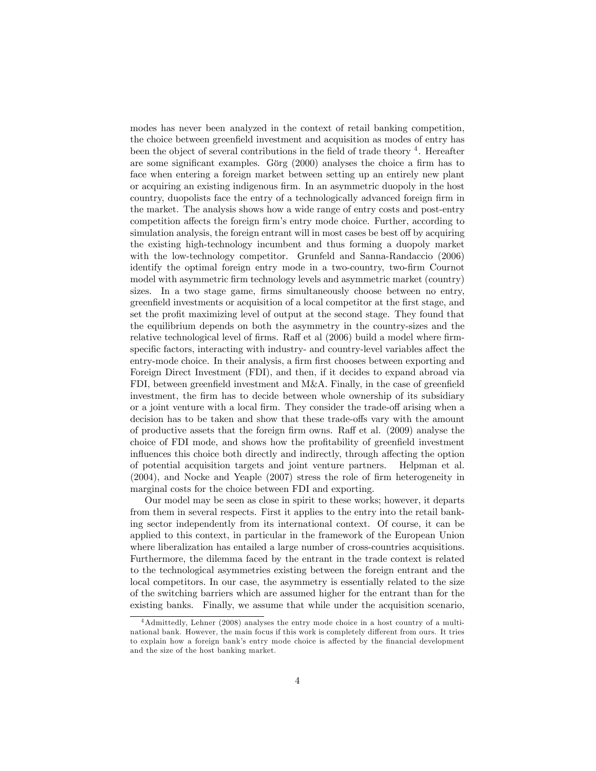modes has never been analyzed in the context of retail banking competition, the choice between greenfield investment and acquisition as modes of entry has been the object of several contributions in the field of trade theory <sup>4</sup>. Hereafter are some significant examples. Görg  $(2000)$  analyses the choice a firm has to face when entering a foreign market between setting up an entirely new plant or acquiring an existing indigenous firm. In an asymmetric duopoly in the host country, duopolists face the entry of a technologically advanced foreign firm in the market. The analysis shows how a wide range of entry costs and post-entry competition affects the foreign firm's entry mode choice. Further, according to simulation analysis, the foreign entrant will in most cases be best off by acquiring the existing high-technology incumbent and thus forming a duopoly market with the low-technology competitor. Grunfeld and Sanna-Randaccio (2006) identify the optimal foreign entry mode in a two-country, two-firm Cournot model with asymmetric firm technology levels and asymmetric market (country) sizes. In a two stage game, firms simultaneously choose between no entry, greenÖeld investments or acquisition of a local competitor at the Örst stage, and set the profit maximizing level of output at the second stage. They found that the equilibrium depends on both the asymmetry in the country-sizes and the relative technological level of firms. Raff et al (2006) build a model where firmspecific factors, interacting with industry- and country-level variables affect the entry-mode choice. In their analysis, a firm first chooses between exporting and Foreign Direct Investment (FDI), and then, if it decides to expand abroad via FDI, between greenfield investment and M&A. Finally, in the case of greenfield investment, the firm has to decide between whole ownership of its subsidiary or a joint venture with a local firm. They consider the trade-off arising when a decision has to be taken and show that these trade-offs vary with the amount of productive assets that the foreign firm owns. Raff et al.  $(2009)$  analyse the choice of FDI mode, and shows how the profitability of greenfield investment influences this choice both directly and indirectly, through affecting the option of potential acquisition targets and joint venture partners. Helpman et al.  $(2004)$ , and Nocke and Yeaple  $(2007)$  stress the role of firm heterogeneity in marginal costs for the choice between FDI and exporting.

Our model may be seen as close in spirit to these works; however, it departs from them in several respects. First it applies to the entry into the retail banking sector independently from its international context. Of course, it can be applied to this context, in particular in the framework of the European Union where liberalization has entailed a large number of cross-countries acquisitions. Furthermore, the dilemma faced by the entrant in the trade context is related to the technological asymmetries existing between the foreign entrant and the local competitors. In our case, the asymmetry is essentially related to the size of the switching barriers which are assumed higher for the entrant than for the existing banks. Finally, we assume that while under the acquisition scenario,

<sup>4</sup>Admittedly, Lehner (2008) analyses the entry mode choice in a host country of a multinational bank. However, the main focus if this work is completely different from ours. It tries to explain how a foreign bank's entry mode choice is affected by the financial development and the size of the host banking market.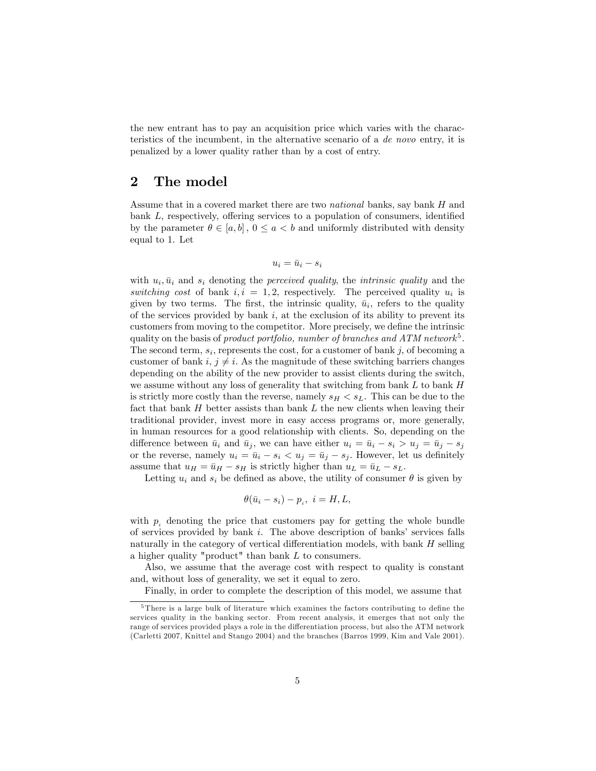the new entrant has to pay an acquisition price which varies with the characteristics of the incumbent, in the alternative scenario of a de novo entry, it is penalized by a lower quality rather than by a cost of entry.

## 2 The model

Assume that in a covered market there are two *national* banks, say bank H and bank  $L$ , respectively, offering services to a population of consumers, identified by the parameter  $\theta \in [a, b]$ ,  $0 \le a < b$  and uniformly distributed with density equal to 1. Let

$$
u_i = \bar{u}_i - s_i
$$

with  $u_i$ ,  $\bar{u}_i$  and  $s_i$  denoting the *perceived quality*, the *intrinsic quality* and the switching cost of bank  $i, i = 1, 2$ , respectively. The perceived quality  $u_i$  is given by two terms. The first, the intrinsic quality,  $\bar{u}_i$ , refers to the quality of the services provided by bank  $i$ , at the exclusion of its ability to prevent its customers from moving to the competitor. More precisely, we define the intrinsic quality on the basis of product portfolio, number of branches and  $ATM$  network<sup>5</sup>. The second term,  $s_i$ , represents the cost, for a customer of bank j, of becoming a customer of bank i,  $j \neq i$ . As the magnitude of these switching barriers changes depending on the ability of the new provider to assist clients during the switch, we assume without any loss of generality that switching from bank  $L$  to bank  $H$ is strictly more costly than the reverse, namely  $s_H < s_L$ . This can be due to the fact that bank  $H$  better assists than bank  $L$  the new clients when leaving their traditional provider, invest more in easy access programs or, more generally, in human resources for a good relationship with clients. So, depending on the difference between  $\bar{u}_i$  and  $\bar{u}_j$ , we can have either  $u_i = \bar{u}_i - s_i > u_j = \bar{u}_j - s_j$ or the reverse, namely  $u_i = \bar{u}_i - s_i < u_j = \bar{u}_j - s_j$ . However, let us definitely assume that  $u_H = \bar{u}_H - s_H$  is strictly higher than  $u_L = \bar{u}_L - s_L$ .

Letting  $u_i$  and  $s_i$  be defined as above, the utility of consumer  $\theta$  is given by

$$
\theta(\bar{u}_i - s_i) - p_i, \ i = H, L,
$$

with  $p_i$  denoting the price that customers pay for getting the whole bundle of services provided by bank  $i$ . The above description of banks' services falls naturally in the category of vertical differentiation models, with bank  $H$  selling a higher quality "product" than bank  $L$  to consumers.

Also, we assume that the average cost with respect to quality is constant and, without loss of generality, we set it equal to zero.

Finally, in order to complete the description of this model, we assume that

 $5$ There is a large bulk of literature which examines the factors contributing to define the services quality in the banking sector. From recent analysis, it emerges that not only the range of services provided plays a role in the differentiation process, but also the ATM network (Carletti 2007, Knittel and Stango 2004) and the branches (Barros 1999, Kim and Vale 2001).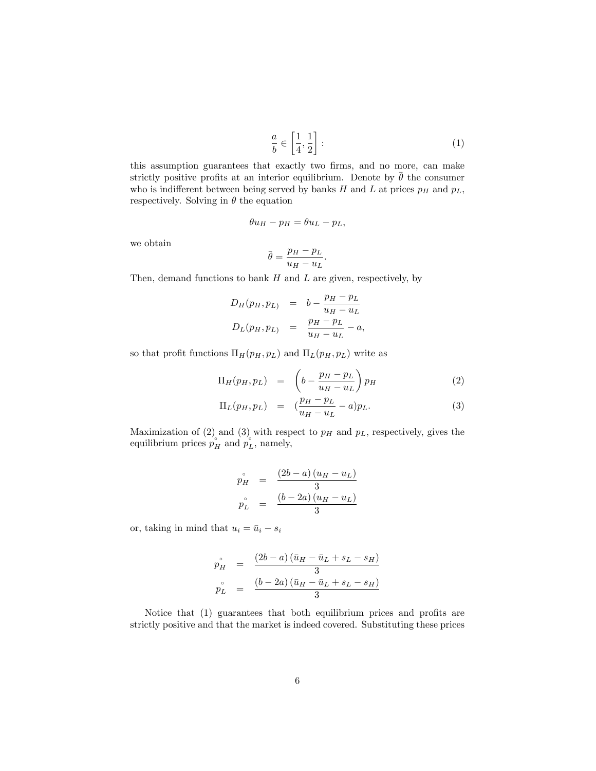$$
\frac{a}{b} \in \left[\frac{1}{4}, \frac{1}{2}\right].\tag{1}
$$

this assumption guarantees that exactly two firms, and no more, can make strictly positive profits at an interior equilibrium. Denote by  $\bar{\theta}$  the consumer who is indifferent between being served by banks H and L at prices  $p_H$  and  $p_L$ , respectively. Solving in  $\theta$  the equation

$$
\theta u_H - p_H = \theta u_L - p_L,
$$

we obtain

$$
\bar{\theta} = \frac{p_H - p_L}{u_H - u_L}.
$$

Then, demand functions to bank  $H$  and  $L$  are given, respectively, by

$$
D_H(p_H, p_L) = b - \frac{p_H - p_L}{u_H - u_L}
$$
  

$$
D_L(p_H, p_L) = \frac{p_H - p_L}{u_H - u_L} - a,
$$

so that profit functions  $\Pi_H(p_H, p_L)$  and  $\Pi_L(p_H, p_L)$  write as

$$
\Pi_H(p_H, p_L) = \left(b - \frac{p_H - p_L}{u_H - u_L}\right) p_H \tag{2}
$$

$$
\Pi_L(p_H, p_L) = (\frac{p_H - p_L}{u_H - u_L} - a)p_L.
$$
\n(3)

Maximization of (2) and (3) with respect to  $p<sub>H</sub>$  and  $p<sub>L</sub>$ , respectively, gives the equilibrium prices  $p_H^{\circ}$  and  $p_L^{\circ}$ , namely,

$$
\begin{array}{rcl}\np_H^{\circ} &=& \frac{(2b-a)(u_H - u_L)}{3} \\
p_L^{\circ} &=& \frac{(b-2a)(u_H - u_L)}{3}\n\end{array}
$$

or, taking in mind that  $u_i = \bar{u}_i - s_i$ 

$$
\begin{array}{rcl}\n\stackrel{\circ}{p_H} & = & \frac{(2b-a)(\bar{u}_H - \bar{u}_L + s_L - s_H)}{3} \\
\stackrel{\circ}{p_L} & = & \frac{(b-2a)(\bar{u}_H - \bar{u}_L + s_L - s_H)}{3}\n\end{array}
$$

Notice that  $(1)$  guarantees that both equilibrium prices and profits are strictly positive and that the market is indeed covered. Substituting these prices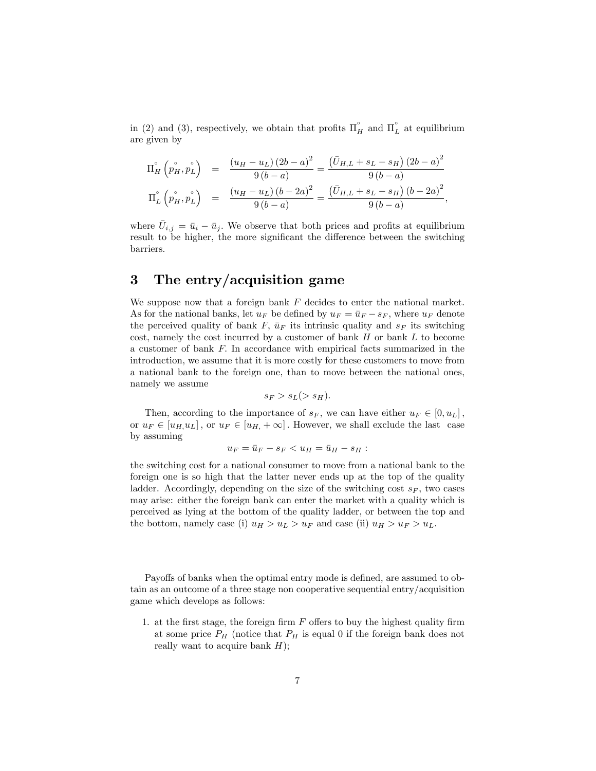in (2) and (3), respectively, we obtain that profits  $\Pi_H^{\circ}$  and  $\Pi_L^{\circ}$  at equilibrium are given by

$$
\Pi_{H}^{\circ} \left( p_{H}^{\circ}, p_{L}^{\circ} \right) = \frac{\left( u_{H} - u_{L} \right) \left( 2b - a \right)^{2}}{9 \left( b - a \right)} = \frac{\left( \bar{U}_{H,L} + s_{L} - s_{H} \right) \left( 2b - a \right)^{2}}{9 \left( b - a \right)}
$$
\n
$$
\Pi_{L}^{\circ} \left( p_{H}^{\circ}, p_{L}^{\circ} \right) = \frac{\left( u_{H} - u_{L} \right) \left( b - 2a \right)^{2}}{9 \left( b - a \right)} = \frac{\left( \bar{U}_{H,L} + s_{L} - s_{H} \right) \left( b - 2a \right)^{2}}{9 \left( b - a \right)},
$$

where  $\bar{U}_{i,j} = \bar{u}_i - \bar{u}_j$ . We observe that both prices and profits at equilibrium result to be higher, the more significant the difference between the switching barriers.

## 3 The entry/acquisition game

We suppose now that a foreign bank  $F$  decides to enter the national market. As for the national banks, let  $u_F$  be defined by  $u_F = \bar{u}_F - s_F$ , where  $u_F$  denote the perceived quality of bank F,  $\bar{u}_F$  its intrinsic quality and  $s_F$  its switching cost, namely the cost incurred by a customer of bank  $H$  or bank  $L$  to become a customer of bank F: In accordance with empirical facts summarized in the introduction, we assume that it is more costly for these customers to move from a national bank to the foreign one, than to move between the national ones, namely we assume

$$
s_F > s_L(> s_H).
$$

Then, according to the importance of  $s_F$ , we can have either  $u_F \in [0, u_L]$ , or  $u_F \in [u_H, u_L]$ , or  $u_F \in [u_H, +\infty]$ . However, we shall exclude the last case by assuming

$$
u_F = \bar{u}_F - s_F < u_H = \bar{u}_H - s_H:
$$

the switching cost for a national consumer to move from a national bank to the foreign one is so high that the latter never ends up at the top of the quality ladder. Accordingly, depending on the size of the switching cost  $s_F$ , two cases may arise: either the foreign bank can enter the market with a quality which is perceived as lying at the bottom of the quality ladder, or between the top and the bottom, namely case (i)  $u_H > u_L > u_F$  and case (ii)  $u_H > u_F > u_L$ .

Payoffs of banks when the optimal entry mode is defined, are assumed to obtain as an outcome of a three stage non cooperative sequential entry/acquisition game which develops as follows:

1. at the first stage, the foreign firm  $F$  offers to buy the highest quality firm at some price  $P_H$  (notice that  $P_H$  is equal 0 if the foreign bank does not really want to acquire bank  $H$ );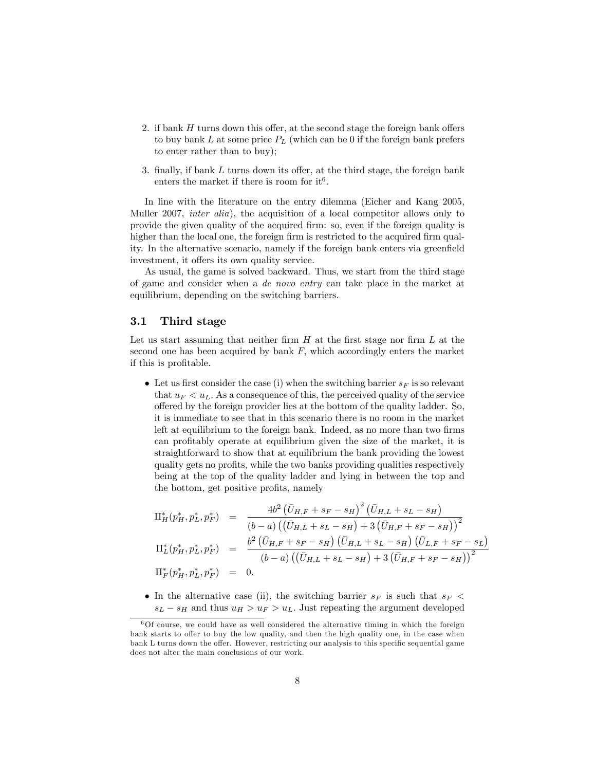- 2. if bank  $H$  turns down this offer, at the second stage the foreign bank offers to buy bank L at some price  $P_L$  (which can be 0 if the foreign bank prefers to enter rather than to buy);
- 3. finally, if bank  $L$  turns down its offer, at the third stage, the foreign bank enters the market if there is room for it<sup>6</sup>.

In line with the literature on the entry dilemma (Eicher and Kang 2005, Muller 2007, inter alia), the acquisition of a local competitor allows only to provide the given quality of the acquired Örm: so, even if the foreign quality is higher than the local one, the foreign firm is restricted to the acquired firm quality. In the alternative scenario, namely if the foreign bank enters via greenfield investment, it offers its own quality service.

As usual, the game is solved backward. Thus, we start from the third stage of game and consider when a de novo entry can take place in the market at equilibrium, depending on the switching barriers.

### 3.1 Third stage

Let us start assuming that neither firm  $H$  at the first stage nor firm  $L$  at the second one has been acquired by bank  $F$ , which accordingly enters the market if this is profitable.

• Let us first consider the case (i) when the switching barrier  $s_F$  is so relevant that  $u_F < u_L$ . As a consequence of this, the perceived quality of the service offered by the foreign provider lies at the bottom of the quality ladder. So, it is immediate to see that in this scenario there is no room in the market left at equilibrium to the foreign bank. Indeed, as no more than two firms can profitably operate at equilibrium given the size of the market, it is straightforward to show that at equilibrium the bank providing the lowest quality gets no profits, while the two banks providing qualities respectively being at the top of the quality ladder and lying in between the top and the bottom, get positive profits, namely

$$
\Pi_H^*(p_H^*, p_L^*, p_F^*) = \frac{4b^2 (\bar{U}_{H,F} + s_F - s_H)^2 (\bar{U}_{H,L} + s_L - s_H)}{(b - a) ((\bar{U}_{H,L} + s_L - s_H) + 3 (\bar{U}_{H,F} + s_F - s_H))^2}
$$
\n
$$
\Pi_L^*(p_H^*, p_L^*, p_F^*) = \frac{b^2 (\bar{U}_{H,F} + s_F - s_H) (\bar{U}_{H,L} + s_L - s_H) (\bar{U}_{L,F} + s_F - s_L)}{(b - a) ((\bar{U}_{H,L} + s_L - s_H) + 3 (\bar{U}_{H,F} + s_F - s_H))^2}
$$
\n
$$
\Pi_F^*(p_H^*, p_L^*, p_F^*) = 0.
$$

• In the alternative case (ii), the switching barrier  $s_F$  is such that  $s_F$  $s_L - s_H$  and thus  $u_H > u_F > u_L$ . Just repeating the argument developed

 $60f$  course, we could have as well considered the alternative timing in which the foreign bank starts to offer to buy the low quality, and then the high quality one, in the case when bank L turns down the offer. However, restricting our analysis to this specific sequential game does not alter the main conclusions of our work.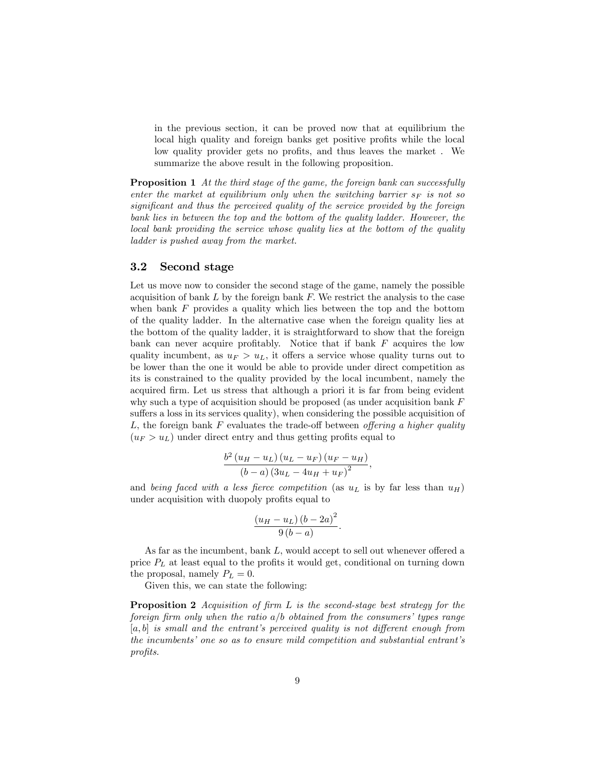in the previous section, it can be proved now that at equilibrium the local high quality and foreign banks get positive profits while the local low quality provider gets no profits, and thus leaves the market. We summarize the above result in the following proposition.

**Proposition 1** At the third stage of the game, the foreign bank can successfully enter the market at equilibrium only when the switching barrier  $s_F$  is not so significant and thus the perceived quality of the service provided by the foreign bank lies in between the top and the bottom of the quality ladder. However, the local bank providing the service whose quality lies at the bottom of the quality ladder is pushed away from the market.

## 3.2 Second stage

Let us move now to consider the second stage of the game, namely the possible acquisition of bank  $L$  by the foreign bank  $F$ . We restrict the analysis to the case when bank  $F$  provides a quality which lies between the top and the bottom of the quality ladder. In the alternative case when the foreign quality lies at the bottom of the quality ladder, it is straightforward to show that the foreign bank can never acquire profitably. Notice that if bank  $F$  acquires the low quality incumbent, as  $u_F > u_L$ , it offers a service whose quality turns out to be lower than the one it would be able to provide under direct competition as its is constrained to the quality provided by the local incumbent, namely the acquired firm. Let us stress that although a priori it is far from being evident why such a type of acquisition should be proposed (as under acquisition bank F suffers a loss in its services quality), when considering the possible acquisition of L, the foreign bank F evaluates the trade-off between offering a higher quality  $(u_F > u_L)$  under direct entry and thus getting profits equal to

$$
\frac{b^2 (u_H - u_L) (u_L - u_F) (u_F - u_H)}{(b - a) (3u_L - 4u_H + u_F)^2}
$$

;

and being faced with a less fierce competition (as  $u<sub>L</sub>$  is by far less than  $u<sub>H</sub>$ ) under acquisition with duopoly profits equal to

$$
\frac{(u_H - u_L) (b - 2a)^2}{9 (b - a)}.
$$

As far as the incumbent, bank  $L$ , would accept to sell out whenever offered a price  $P_L$  at least equal to the profits it would get, conditional on turning down the proposal, namely  $P_L = 0$ .

Given this, we can state the following:

**Proposition 2** Acquisition of firm  $L$  is the second-stage best strategy for the foreign firm only when the ratio  $a/b$  obtained from the consumers' types range  $[a, b]$  is small and the entrant's perceived quality is not different enough from the incumbents' one so as to ensure mild competition and substantial entrant's profits.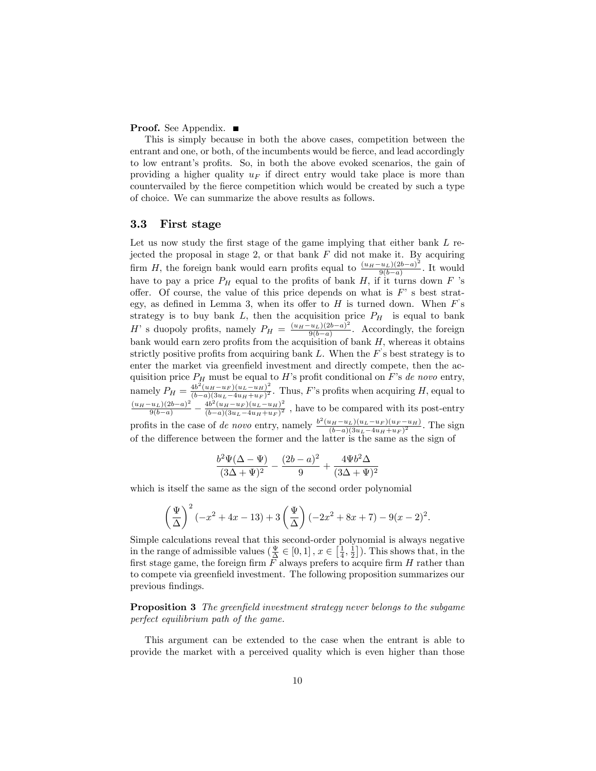#### **Proof.** See Appendix. ■

This is simply because in both the above cases, competition between the entrant and one, or both, of the incumbents would be fierce, and lead accordingly to low entrant's profits. So, in both the above evoked scenarios, the gain of providing a higher quality  $u_F$  if direct entry would take place is more than countervailed by the fierce competition which would be created by such a type of choice. We can summarize the above results as follows.

### 3.3 First stage

Let us now study the first stage of the game implying that either bank  $L$  rejected the proposal in stage 2, or that bank  $F$  did not make it. By acquiring firm H, the foreign bank would earn profits equal to  $\frac{(u_H-u_L)(2b-a)^2}{9(b-a)}$  $\frac{g(b-a)}{g(b-a)}$ . It would have to pay a price  $P_H$  equal to the profits of bank H, if it turns down F 's offer. Of course, the value of this price depends on what is  $F'$  s best strategy, as defined in Lemma 3, when its offer to  $H$  is turned down. When  $F$ 's strategy is to buy bank L, then the acquisition price  $P_H$  is equal to bank H<sup>'</sup> s duopoly profits, namely  $P_H = \frac{(u_H - u_L)(2b - a)^2}{9(b - a)}$  $\frac{u_L(2b-a)}{9(b-a)}$ . Accordingly, the foreign bank would earn zero profits from the acquisition of bank  $H$ , whereas it obtains strictly positive profits from acquiring bank  $L$ . When the  $F$ 's best strategy is to enter the market via greenfield investment and directly compete, then the acquisition price  $P_H$  must be equal to H's profit conditional on F's de novo entry, namely  $P_H = \frac{4b^2(u_H - u_F)(u_L - u_H)^2}{(b - a)(3u_L - 4u_H + u_F)^2}$  $\frac{4b(u_H-u_F)(u_L-u_H)}{(b-a)(3u_L-4u_H+u_F)^2}$ . Thus, F's profits when acquiring H, equal to  $\frac{(u_H-u_L)(2b-a)^2}{9(b-a)} - \frac{4b^2(u_H-u_F)(u_L-u_H)^2}{(b-a)(3u_L-4u_H+u_F)^2}$  $\frac{40 (u_H - u_F)(u_L - u_H)}{(b-a)(3u_L - 4u_H + u_F)^2}$ , have to be compared with its post-entry profits in the case of de novo entry, namely  $\frac{b^2(u_H-u_L)(u_L-u_F)(u_F-u_H)}{(b-a)(3u_L-d(u_H+u_F))^2}$ 2  $\frac{u_H - u_L (u_L - u_F)(u_F - u_H)}{(b - a)(3u_L - 4u_H + u_F)^2}$ . The sign of the difference between the former and the latter is the same as the sign of

$$
\frac{b^2 \Psi (\Delta - \Psi )}{(3\Delta + \Psi )^2} - \frac{(2b-a)^2}{9} + \frac{4 \Psi b^2 \Delta }{(3\Delta + \Psi )^2}
$$

which is itself the same as the sign of the second order polynomial

$$
\left(\frac{\Psi}{\Delta}\right)^2(-x^2+4x-13)+3\left(\frac{\Psi}{\Delta}\right)(-2x^2+8x+7)-9(x-2)^2.
$$

Simple calculations reveal that this second-order polynomial is always negative in the range of admissible values  $(\frac{\Psi}{\Delta} \in [0,1], x \in [\frac{1}{4},\frac{1}{2}])$ . This shows that, in the first stage game, the foreign firm  $F$  always prefers to acquire firm  $H$  rather than to compete via greenÖeld investment. The following proposition summarizes our previous findings.

**Proposition 3** The greenfield investment strategy never belongs to the subgame perfect equilibrium path of the game.

This argument can be extended to the case when the entrant is able to provide the market with a perceived quality which is even higher than those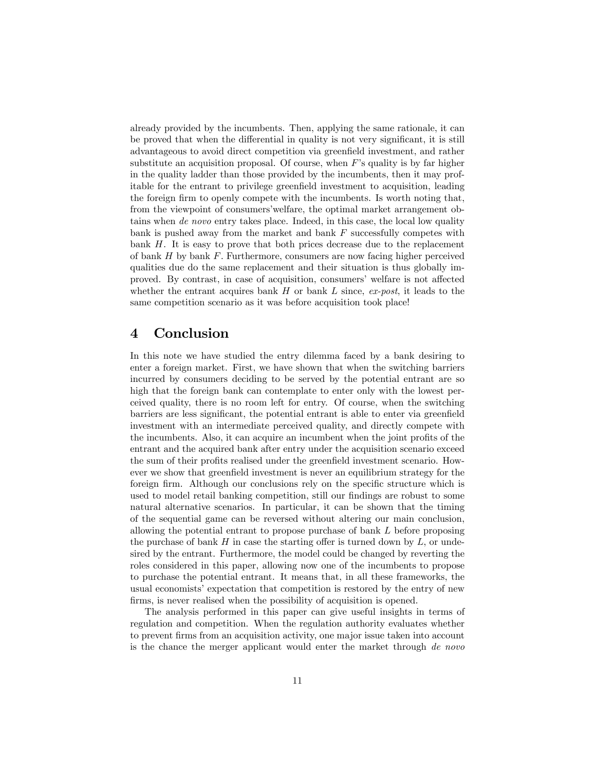already provided by the incumbents. Then, applying the same rationale, it can be proved that when the differential in quality is not very significant, it is still advantageous to avoid direct competition via greenfield investment, and rather substitute an acquisition proposal. Of course, when  $F$ 's quality is by far higher in the quality ladder than those provided by the incumbents, then it may profitable for the entrant to privilege greenfield investment to acquisition, leading the foreign firm to openly compete with the incumbents. Is worth noting that, from the viewpoint of consumersíwelfare, the optimal market arrangement obtains when de novo entry takes place. Indeed, in this case, the local low quality bank is pushed away from the market and bank  $F$  successfully competes with bank  $H$ . It is easy to prove that both prices decrease due to the replacement of bank  $H$  by bank  $F$ . Furthermore, consumers are now facing higher perceived qualities due do the same replacement and their situation is thus globally improved. By contrast, in case of acquisition, consumers' welfare is not affected whether the entrant acquires bank  $H$  or bank  $L$  since,  $ex\text{-}post$ , it leads to the same competition scenario as it was before acquisition took place!

## 4 Conclusion

In this note we have studied the entry dilemma faced by a bank desiring to enter a foreign market. First, we have shown that when the switching barriers incurred by consumers deciding to be served by the potential entrant are so high that the foreign bank can contemplate to enter only with the lowest perceived quality, there is no room left for entry. Of course, when the switching barriers are less significant, the potential entrant is able to enter via greenfield investment with an intermediate perceived quality, and directly compete with the incumbents. Also, it can acquire an incumbent when the joint profits of the entrant and the acquired bank after entry under the acquisition scenario exceed the sum of their profits realised under the greenfield investment scenario. However we show that green field investment is never an equilibrium strategy for the foreign firm. Although our conclusions rely on the specific structure which is used to model retail banking competition, still our findings are robust to some natural alternative scenarios. In particular, it can be shown that the timing of the sequential game can be reversed without altering our main conclusion, allowing the potential entrant to propose purchase of bank L before proposing the purchase of bank  $H$  in case the starting offer is turned down by  $L$ , or undesired by the entrant. Furthermore, the model could be changed by reverting the roles considered in this paper, allowing now one of the incumbents to propose to purchase the potential entrant. It means that, in all these frameworks, the usual economists' expectation that competition is restored by the entry of new firms, is never realised when the possibility of acquisition is opened.

The analysis performed in this paper can give useful insights in terms of regulation and competition. When the regulation authority evaluates whether to prevent Örms from an acquisition activity, one major issue taken into account is the chance the merger applicant would enter the market through de novo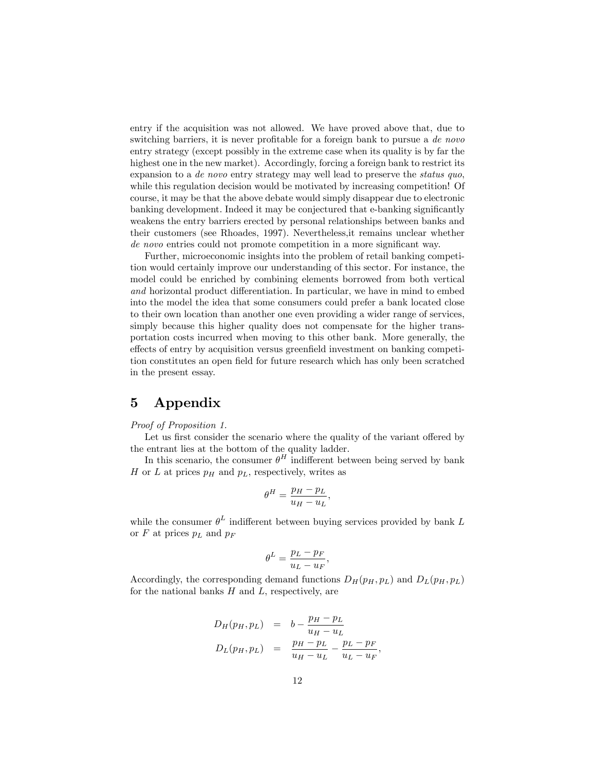entry if the acquisition was not allowed. We have proved above that, due to switching barriers, it is never profitable for a foreign bank to pursue a  $de\;novo$ entry strategy (except possibly in the extreme case when its quality is by far the highest one in the new market). Accordingly, forcing a foreign bank to restrict its expansion to a de novo entry strategy may well lead to preserve the status quo, while this regulation decision would be motivated by increasing competition! Of course, it may be that the above debate would simply disappear due to electronic banking development. Indeed it may be conjectured that e-banking significantly weakens the entry barriers erected by personal relationships between banks and their customers (see Rhoades, 1997). Nevertheless,it remains unclear whether de novo entries could not promote competition in a more significant way.

Further, microeconomic insights into the problem of retail banking competition would certainly improve our understanding of this sector. For instance, the model could be enriched by combining elements borrowed from both vertical and horizontal product differentiation. In particular, we have in mind to embed into the model the idea that some consumers could prefer a bank located close to their own location than another one even providing a wider range of services, simply because this higher quality does not compensate for the higher transportation costs incurred when moving to this other bank. More generally, the effects of entry by acquisition versus greenfield investment on banking competition constitutes an open field for future research which has only been scratched in the present essay.

## 5 Appendix

#### Proof of Proposition 1.

Let us first consider the scenario where the quality of the variant offered by the entrant lies at the bottom of the quality ladder.

In this scenario, the consumer  $\theta^H$  indifferent between being served by bank H or L at prices  $p<sub>H</sub>$  and  $p<sub>L</sub>$ , respectively, writes as

$$
\theta^H = \frac{p_H - p_L}{u_H - u_L},
$$

while the consumer  $\theta^L$  indifferent between buying services provided by bank L or F at prices  $p<sub>L</sub>$  and  $p<sub>F</sub>$ 

$$
\theta^L = \frac{p_L - p_F}{u_L - u_F},
$$

Accordingly, the corresponding demand functions  $D_H(p_H, p_L)$  and  $D_L(p_H, p_L)$ for the national banks  $H$  and  $L$ , respectively, are

$$
D_H(p_H, p_L) = b - \frac{p_H - p_L}{u_H - u_L}
$$
  

$$
D_L(p_H, p_L) = \frac{p_H - p_L}{u_H - u_L} - \frac{p_L - p_F}{u_L - u_F},
$$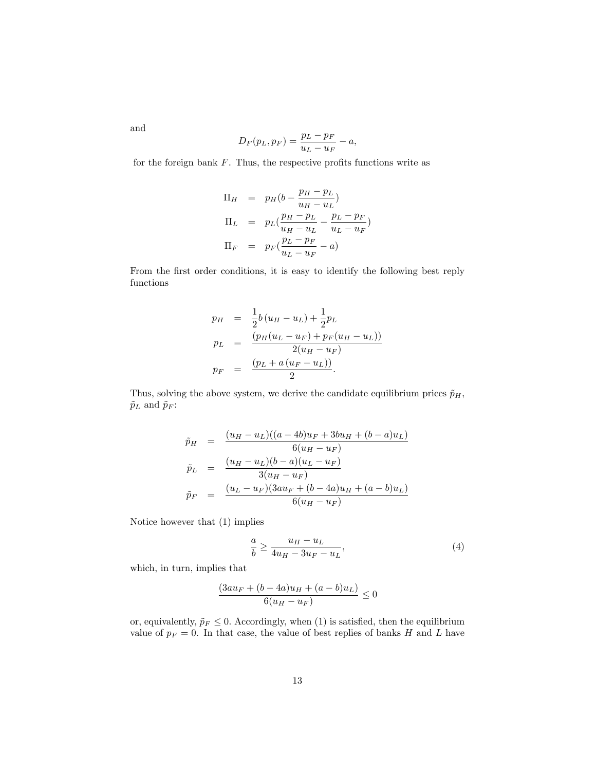and

$$
D_F(p_L, p_F) = \frac{p_L - p_F}{u_L - u_F} - a,
$$

for the foreign bank  $F$ . Thus, the respective profits functions write as

$$
\Pi_H = p_H(b - \frac{p_H - p_L}{u_H - u_L})
$$
\n
$$
\Pi_L = p_L(\frac{p_H - p_L}{u_H - u_L} - \frac{p_L - p_F}{u_L - u_F})
$$
\n
$$
\Pi_F = p_F(\frac{p_L - p_F}{u_L - u_F} - a)
$$

From the first order conditions, it is easy to identify the following best reply functions

$$
p_H = \frac{1}{2}b(u_H - u_L) + \frac{1}{2}p_L
$$
  
\n
$$
p_L = \frac{(p_H(u_L - u_F) + p_F(u_H - u_L))}{2(u_H - u_F)}
$$
  
\n
$$
p_F = \frac{(p_L + a(u_F - u_L))}{2}.
$$

Thus, solving the above system, we derive the candidate equilibrium prices  $\tilde{p}_H$ ,  $\tilde{p}_L$  and  $\tilde{p}_F$  :

$$
\tilde{p}_H = \frac{(u_H - u_L)((a - 4b)u_F + 3bu_H + (b - a)u_L)}{6(u_H - u_F)}
$$
\n
$$
\tilde{p}_L = \frac{(u_H - u_L)(b - a)(u_L - u_F)}{3(u_H - u_F)}
$$
\n
$$
\tilde{p}_F = \frac{(u_L - u_F)(3au_F + (b - 4a)u_H + (a - b)u_L)}{6(u_H - u_F)}
$$

Notice however that (1) implies

$$
\frac{a}{b} \ge \frac{u_H - u_L}{4u_H - 3u_F - u_L},\tag{4}
$$

which, in turn, implies that

$$
\frac{(3au_F + (b - 4a)u_H + (a - b)u_L)}{6(u_H - u_F)} \le 0
$$

or, equivalently,  $\tilde{p}_F \leq 0$ . Accordingly, when (1) is satisfied, then the equilibrium value of  $p_F = 0$ . In that case, the value of best replies of banks H and L have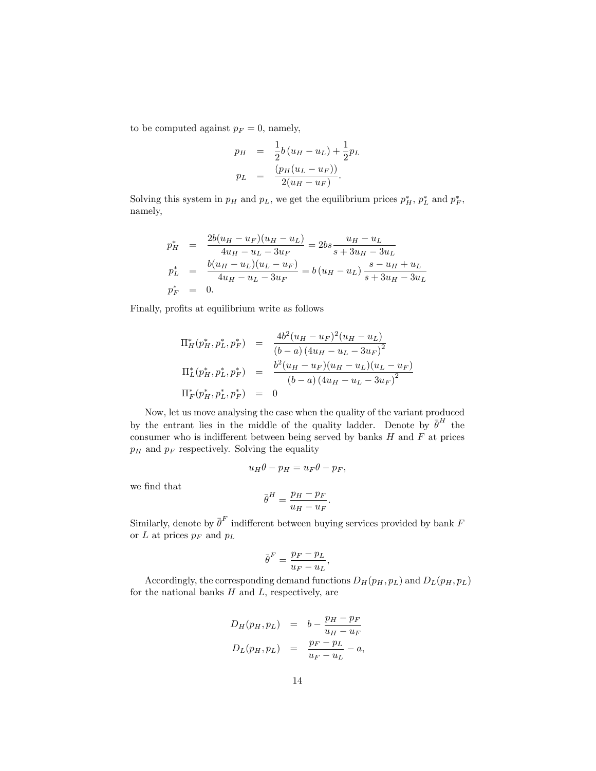to be computed against  $p_F = 0$ , namely,

$$
p_H = \frac{1}{2}b(u_H - u_L) + \frac{1}{2}p_L
$$
  

$$
p_L = \frac{(p_H(u_L - u_F))}{2(u_H - u_F)}.
$$

Solving this system in  $p_H$  and  $p_L$ , we get the equilibrium prices  $p_H^*$ ,  $p_L^*$  and  $p_F^*$ , namely,

$$
p_{H}^{*} = \frac{2b(u_{H} - u_{F})(u_{H} - u_{L})}{4u_{H} - u_{L} - 3u_{F}} = 2bs \frac{u_{H} - u_{L}}{s + 3u_{H} - 3u_{L}}
$$
  
\n
$$
p_{L}^{*} = \frac{b(u_{H} - u_{L})(u_{L} - u_{F})}{4u_{H} - u_{L} - 3u_{F}} = b(u_{H} - u_{L}) \frac{s - u_{H} + u_{L}}{s + 3u_{H} - 3u_{L}}
$$
  
\n
$$
p_{F}^{*} = 0.
$$

Finally, profits at equilibrium write as follows

$$
\Pi_H^*(p_H^*, p_L^*, p_F^*) = \frac{4b^2(u_H - u_F)^2(u_H - u_L)}{(b - a)(4u_H - u_L - 3u_F)^2}
$$
\n
$$
\Pi_L^*(p_H^*, p_L^*, p_F^*) = \frac{b^2(u_H - u_F)(u_H - u_L)(u_L - u_F)}{(b - a)(4u_H - u_L - 3u_F)^2}
$$
\n
$$
\Pi_F^*(p_H^*, p_L^*, p_F^*) = 0
$$

Now, let us move analysing the case when the quality of the variant produced by the entrant lies in the middle of the quality ladder. Denote by  $\bar{\theta}^H$  the consumer who is indifferent between being served by banks  $H$  and  $F$  at prices  $p_H$  and  $p_F$  respectively. Solving the equality

$$
u_H \theta - p_H = u_F \theta - p_F,
$$

we find that

$$
\bar{\theta}^H = \frac{p_H - p_F}{u_H - u_F}.
$$

Similarly, denote by  $\bar{\theta}^F$  indifferent between buying services provided by bank F or  $L$  at prices  $p_F$  and  $p_L$ 

$$
\bar{\theta}^F = \frac{p_F - p_L}{u_F - u_L},
$$

Accordingly, the corresponding demand functions  $D_H(p_H, p_L)$  and  $D_L(p_H, p_L)$ for the national banks  $H$  and  $L$ , respectively, are

$$
D_H(p_H, p_L) = b - \frac{p_H - p_F}{u_H - u_F}
$$
  

$$
D_L(p_H, p_L) = \frac{p_F - p_L}{u_F - u_L} - a,
$$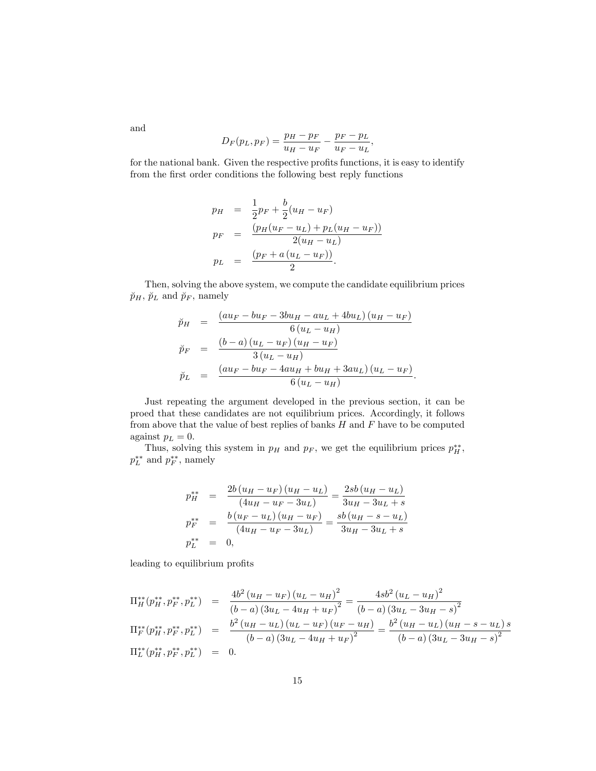$$
D_F(p_L, p_F) = \frac{p_H - p_F}{u_H - u_F} - \frac{p_F - p_L}{u_F - u_L},
$$

for the national bank. Given the respective profits functions, it is easy to identify from the first order conditions the following best reply functions

$$
p_H = \frac{1}{2}p_F + \frac{b}{2}(u_H - u_F)
$$
  
\n
$$
p_F = \frac{(p_H(u_F - u_L) + p_L(u_H - u_F))}{2(u_H - u_L)}
$$
  
\n
$$
p_L = \frac{(p_F + a(u_L - u_F))}{2}.
$$

Then, solving the above system, we compute the candidate equilibrium prices  $\breve{p}_H$ ,  $\breve{p}_L$  and  $\breve{p}_F$ , namely

$$
\tilde{p}_H = \frac{(au_F - bu_F - 3bu_H - au_L + 4bu_L)(u_H - u_F)}{6(u_L - u_H)}
$$
\n
$$
\tilde{p}_F = \frac{(b - a)(u_L - u_F)(u_H - u_F)}{3(u_L - u_H)}
$$
\n
$$
\tilde{p}_L = \frac{(au_F - bu_F - 4au_H + bu_H + 3au_L)(u_L - u_F)}{6(u_L - u_H)}.
$$

Just repeating the argument developed in the previous section, it can be proed that these candidates are not equilibrium prices. Accordingly, it follows from above that the value of best replies of banks  $H$  and  $F$  have to be computed against  $p_L = 0$ .

Thus, solving this system in  $p_H$  and  $p_F$ , we get the equilibrium prices  $p_H^{**}$ ,  $p_L^{**}$  and  $p_F^{**}$ , namely

$$
p_{H}^{**} = \frac{2b(u_{H} - u_{F})(u_{H} - u_{L})}{(4u_{H} - u_{F} - 3u_{L})} = \frac{2sb(u_{H} - u_{L})}{3u_{H} - 3u_{L} + s}
$$

$$
p_{F}^{**} = \frac{b(u_{F} - u_{L})(u_{H} - u_{F})}{(4u_{H} - u_{F} - 3u_{L})} = \frac{sb(u_{H} - s - u_{L})}{3u_{H} - 3u_{L} + s}
$$

$$
p_{L}^{**} = 0,
$$

leading to equilibrium profits

$$
\Pi_H^{**}(p_H^{**}, p_F^{**}, p_L^{**}) = \frac{4b^2 (u_H - u_F) (u_L - u_H)^2}{(b - a) (3u_L - 4u_H + u_F)^2} = \frac{4sb^2 (u_L - u_H)^2}{(b - a) (3u_L - 3u_H - s)^2}
$$
\n
$$
\Pi_F^{**}(p_H^{**}, p_F^{**}, p_L^{**}) = \frac{b^2 (u_H - u_L) (u_L - u_F) (u_F - u_H)}{(b - a) (3u_L - 4u_H + u_F)^2} = \frac{b^2 (u_H - u_L) (u_H - s - u_L) s}{(b - a) (3u_L - 3u_H - s)^2}
$$
\n
$$
\Pi_L^{**}(p_H^{**}, p_F^{**}, p_L^{**}) = 0.
$$

and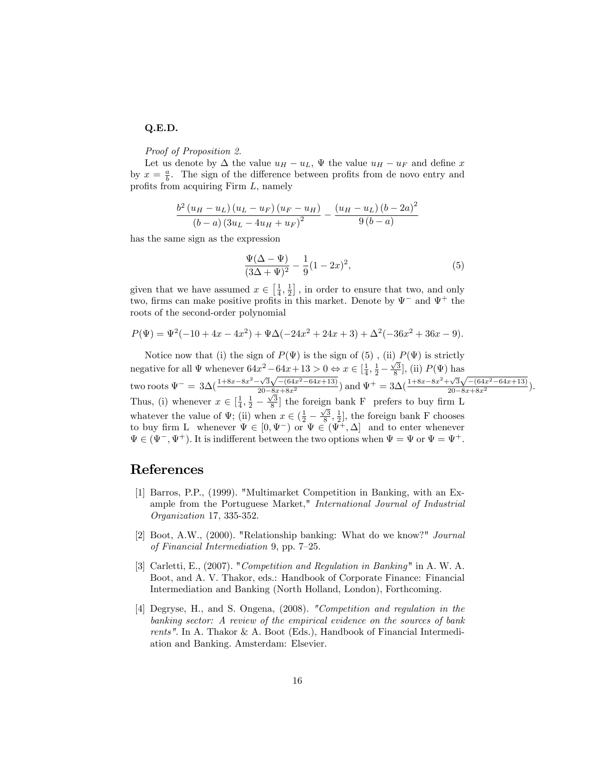### Q.E.D.

Proof of Proposition 2.

Let us denote by  $\Delta$  the value  $u_H - u_L$ ,  $\Psi$  the value  $u_H - u_F$  and define x by  $x = \frac{a}{b}$ . The sign of the difference between profits from de novo entry and profits from acquiring Firm  $L$ , namely

$$
\frac{b^{2}(u_{H}-u_{L})(u_{L}-u_{F})(u_{F}-u_{H})}{(b-a)(3u_{L}-4u_{H}+u_{F})^{2}} - \frac{(u_{H}-u_{L})(b-2a)^{2}}{9(b-a)}
$$

has the same sign as the expression

$$
\frac{\Psi(\Delta - \Psi)}{(3\Delta + \Psi)^2} - \frac{1}{9}(1 - 2x)^2,
$$
\n<sup>(5)</sup>

given that we have assumed  $x \in \left[\frac{1}{4}, \frac{1}{2}\right]$ , in order to ensure that two, and only two, firms can make positive profits in this market. Denote by  $\Psi^-$  and  $\Psi^+$  the roots of the second-order polynomial

$$
P(\Psi) = \Psi^{2}(-10 + 4x - 4x^{2}) + \Psi\Delta(-24x^{2} + 24x + 3) + \Delta^{2}(-36x^{2} + 36x - 9).
$$

Notice now that (i) the sign of  $P(\Psi)$  is the sign of (5), (ii)  $P(\Psi)$  is strictly negative for all  $\Psi$  whenever  $64x^2 - 64x + 13 > 0 \Leftrightarrow x \in [\frac{1}{4}, \frac{1}{2} \frac{\sqrt{3}}{8}$ , (ii)  $P(\Psi)$  has two roots  $\Psi^{-} = 3\Delta(\frac{1+8x-8x^2-\sqrt{3}\sqrt{-(64x^2-64x+13)}}{20-\frac{8x}{\sqrt{5}}} )$  and  $\Psi^{+} = 3\Delta(\frac{1+8x-8x^2+\sqrt{3}\sqrt{-(64x^2-64x+13)}}{20-8x+8x^2})$ . Thus, (i) whenever  $x \in \left[\frac{1}{4}, \frac{1}{2}\right]$  $\frac{\sqrt{3}}{8}$  the foreign bank F prefers to buy firm L whatever the value of  $\Psi$ ; (ii) when  $x \in (\frac{1}{2} - \frac{1}{2})$  $\frac{\sqrt{3}}{8}, \frac{1}{2}]$ , the foreign bank F chooses to buy firm L whenever  $\Psi \in [0, \Psi^-)$  or  $\Psi \in (\Psi^+, \Delta]$  and to enter whenever  $\Psi \in (\Psi^-, \Psi^+).$  It is indifferent between the two options when  $\Psi = \Psi$  or  $\Psi = \Psi^+.$ 

## References

- [1] Barros, P.P., (1999). "Multimarket Competition in Banking, with an Example from the Portuguese Market," International Journal of Industrial Organization 17, 335-352.
- [2] Boot, A.W., (2000). "Relationship banking: What do we know?" Journal of Financial Intermediation 9, pp.  $7-25$ .
- [3] Carletti, E., (2007). "Competition and Regulation in Banking" in A. W. A. Boot, and A. V. Thakor, eds.: Handbook of Corporate Finance: Financial Intermediation and Banking (North Holland, London), Forthcoming.
- [4] Degryse, H., and S. Ongena, (2008). "Competition and regulation in the banking sector: A review of the empirical evidence on the sources of bank rents". In A. Thakor & A. Boot (Eds.), Handbook of Financial Intermediation and Banking. Amsterdam: Elsevier.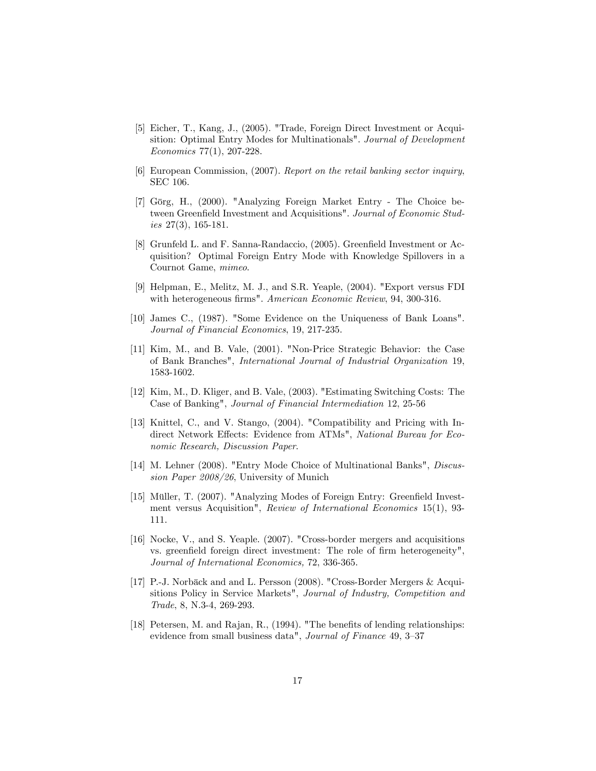- [5] Eicher, T., Kang, J., (2005). "Trade, Foreign Direct Investment or Acquisition: Optimal Entry Modes for Multinationals". Journal of Development Economics 77(1), 207-228.
- [6] European Commission, (2007). Report on the retail banking sector inquiry, SEC 106.
- [7] Görg, H., (2000). "Analyzing Foreign Market Entry The Choice between Greenfield Investment and Acquisitions". Journal of Economic Studies  $27(3)$ , 165-181.
- [8] Grunfeld L. and F. Sanna-Randaccio, (2005). Greenfield Investment or Acquisition? Optimal Foreign Entry Mode with Knowledge Spillovers in a Cournot Game, mimeo.
- [9] Helpman, E., Melitz, M. J., and S.R. Yeaple, (2004). "Export versus FDI with heterogeneous firms". American Economic Review, 94, 300-316.
- [10] James C., (1987). "Some Evidence on the Uniqueness of Bank Loans". Journal of Financial Economics, 19, 217-235.
- [11] Kim, M., and B. Vale, (2001). "Non-Price Strategic Behavior: the Case of Bank Branches", International Journal of Industrial Organization 19, 1583-1602.
- [12] Kim, M., D. Kliger, and B. Vale, (2003). "Estimating Switching Costs: The Case of Banking", Journal of Financial Intermediation 12, 25-56
- [13] Knittel, C., and V. Stango, (2004). "Compatibility and Pricing with Indirect Network Effects: Evidence from ATMs", National Bureau for Economic Research, Discussion Paper.
- [14] M. Lehner (2008). "Entry Mode Choice of Multinational Banks", *Discus*sion Paper 2008/26, University of Munich
- [15] Müller, T. (2007). "Analyzing Modes of Foreign Entry: Greenfield Investment versus Acquisition", Review of International Economics 15(1), 93- 111.
- [16] Nocke, V., and S. Yeaple. (2007). "Cross-border mergers and acquisitions vs. greenfield foreign direct investment: The role of firm heterogeneity", Journal of International Economics, 72, 336-365.
- [17] P.-J. Norbäck and and L. Persson (2008). "Cross-Border Mergers & Acquisitions Policy in Service Markets", Journal of Industry, Competition and Trade, 8, N.3-4, 269-293.
- [18] Petersen, M. and Rajan, R.,  $(1994)$ . "The benefits of lending relationships: evidence from small business data", Journal of Finance 49, 3-37